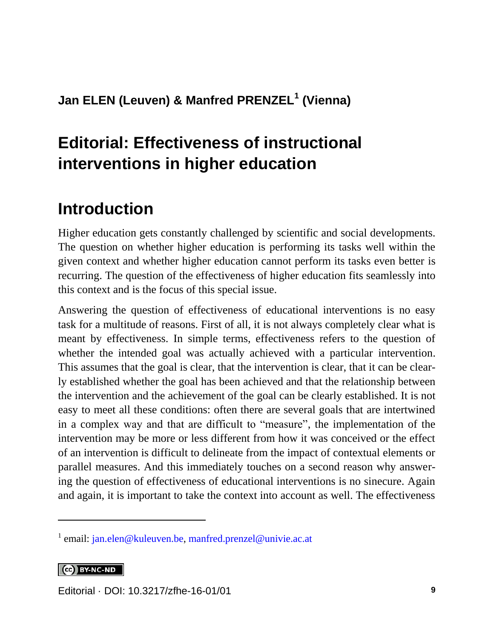#### **Jan ELEN (Leuven) & Manfred PRENZEL<sup>1</sup> (Vienna)**

# **Editorial: Effectiveness of instructional interventions in higher education**

## **Introduction**

Higher education gets constantly challenged by scientific and social developments. The question on whether higher education is performing its tasks well within the given context and whether higher education cannot perform its tasks even better is recurring. The question of the effectiveness of higher education fits seamlessly into this context and is the focus of this special issue.

Answering the question of effectiveness of educational interventions is no easy task for a multitude of reasons. First of all, it is not always completely clear what is meant by effectiveness. In simple terms, effectiveness refers to the question of whether the intended goal was actually achieved with a particular intervention. This assumes that the goal is clear, that the intervention is clear, that it can be clearly established whether the goal has been achieved and that the relationship between the intervention and the achievement of the goal can be clearly established. It is not easy to meet all these conditions: often there are several goals that are intertwined in a complex way and that are difficult to "measure", the implementation of the intervention may be more or less different from how it was conceived or the effect of an intervention is difficult to delineate from the impact of contextual elements or parallel measures. And this immediately touches on a second reason why answering the question of effectiveness of educational interventions is no sinecure. Again and again, it is important to take the context into account as well. The effectiveness

CC BY-NC-ND

l

<sup>&</sup>lt;sup>1</sup> email: [jan.elen@kuleuven.be,](mailto:jan.elen@kuleuven.be) [manfred.prenzel@univie.ac.at](mailto:manfred.prenzel@univie.ac.at)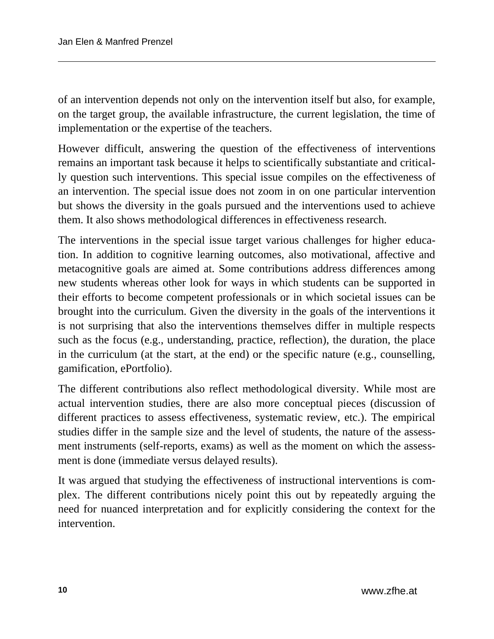of an intervention depends not only on the intervention itself but also, for example, on the target group, the available infrastructure, the current legislation, the time of implementation or the expertise of the teachers.

However difficult, answering the question of the effectiveness of interventions remains an important task because it helps to scientifically substantiate and critically question such interventions. This special issue compiles on the effectiveness of an intervention. The special issue does not zoom in on one particular intervention but shows the diversity in the goals pursued and the interventions used to achieve them. It also shows methodological differences in effectiveness research.

The interventions in the special issue target various challenges for higher education. In addition to cognitive learning outcomes, also motivational, affective and metacognitive goals are aimed at. Some contributions address differences among new students whereas other look for ways in which students can be supported in their efforts to become competent professionals or in which societal issues can be brought into the curriculum. Given the diversity in the goals of the interventions it is not surprising that also the interventions themselves differ in multiple respects such as the focus (e.g., understanding, practice, reflection), the duration, the place in the curriculum (at the start, at the end) or the specific nature (e.g., counselling, gamification, ePortfolio).

The different contributions also reflect methodological diversity. While most are actual intervention studies, there are also more conceptual pieces (discussion of different practices to assess effectiveness, systematic review, etc.). The empirical studies differ in the sample size and the level of students, the nature of the assessment instruments (self-reports, exams) as well as the moment on which the assessment is done (immediate versus delayed results).

It was argued that studying the effectiveness of instructional interventions is complex. The different contributions nicely point this out by repeatedly arguing the need for nuanced interpretation and for explicitly considering the context for the intervention.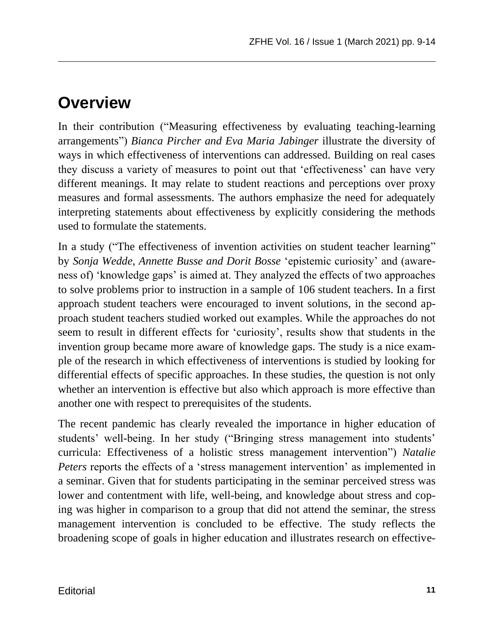### **Overview**

In their contribution ("Measuring effectiveness by evaluating teaching-learning arrangements") *Bianca Pircher and Eva Maria Jabinger* illustrate the diversity of ways in which effectiveness of interventions can addressed. Building on real cases they discuss a variety of measures to point out that 'effectiveness' can have very different meanings. It may relate to student reactions and perceptions over proxy measures and formal assessments. The authors emphasize the need for adequately interpreting statements about effectiveness by explicitly considering the methods used to formulate the statements.

In a study ("The effectiveness of invention activities on student teacher learning" by *Sonja Wedde, Annette Busse and Dorit Bosse* 'epistemic curiosity' and (awareness of) 'knowledge gaps' is aimed at. They analyzed the effects of two approaches to solve problems prior to instruction in a sample of 106 student teachers. In a first approach student teachers were encouraged to invent solutions, in the second approach student teachers studied worked out examples. While the approaches do not seem to result in different effects for 'curiosity', results show that students in the invention group became more aware of knowledge gaps. The study is a nice example of the research in which effectiveness of interventions is studied by looking for differential effects of specific approaches. In these studies, the question is not only whether an intervention is effective but also which approach is more effective than another one with respect to prerequisites of the students.

The recent pandemic has clearly revealed the importance in higher education of students' well-being. In her study ("Bringing stress management into students' curricula: Effectiveness of a holistic stress management intervention") *Natalie Peters* reports the effects of a 'stress management intervention' as implemented in a seminar. Given that for students participating in the seminar perceived stress was lower and contentment with life, well-being, and knowledge about stress and coping was higher in comparison to a group that did not attend the seminar, the stress management intervention is concluded to be effective. The study reflects the broadening scope of goals in higher education and illustrates research on effective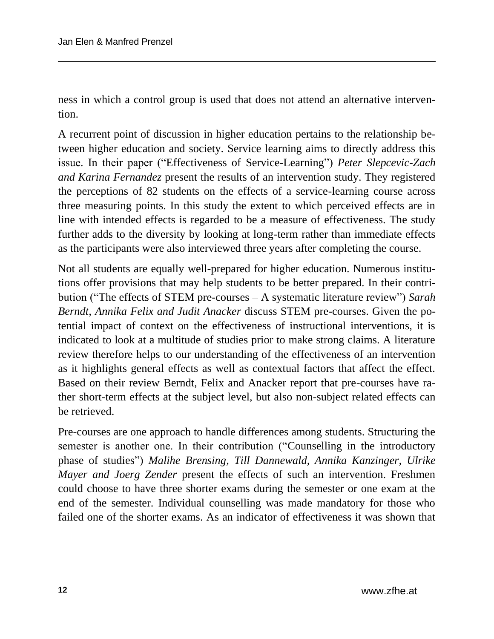ness in which a control group is used that does not attend an alternative intervention.

A recurrent point of discussion in higher education pertains to the relationship between higher education and society. Service learning aims to directly address this issue. In their paper ("Effectiveness of Service-Learning") *Peter Slepcevic-Zach and Karina Fernandez* present the results of an intervention study. They registered the perceptions of 82 students on the effects of a service-learning course across three measuring points. In this study the extent to which perceived effects are in line with intended effects is regarded to be a measure of effectiveness. The study further adds to the diversity by looking at long-term rather than immediate effects as the participants were also interviewed three years after completing the course.

Not all students are equally well-prepared for higher education. Numerous institutions offer provisions that may help students to be better prepared. In their contribution ("The effects of STEM pre-courses – A systematic literature review") *Sarah Berndt, Annika Felix and Judit Anacker* discuss STEM pre-courses. Given the potential impact of context on the effectiveness of instructional interventions, it is indicated to look at a multitude of studies prior to make strong claims. A literature review therefore helps to our understanding of the effectiveness of an intervention as it highlights general effects as well as contextual factors that affect the effect. Based on their review Berndt, Felix and Anacker report that pre-courses have rather short-term effects at the subject level, but also non-subject related effects can be retrieved.

Pre-courses are one approach to handle differences among students. Structuring the semester is another one. In their contribution ("Counselling in the introductory phase of studies") *Malihe Brensing, Till Dannewald, Annika Kanzinger, Ulrike Mayer and Joerg Zender* present the effects of such an intervention. Freshmen could choose to have three shorter exams during the semester or one exam at the end of the semester. Individual counselling was made mandatory for those who failed one of the shorter exams. As an indicator of effectiveness it was shown that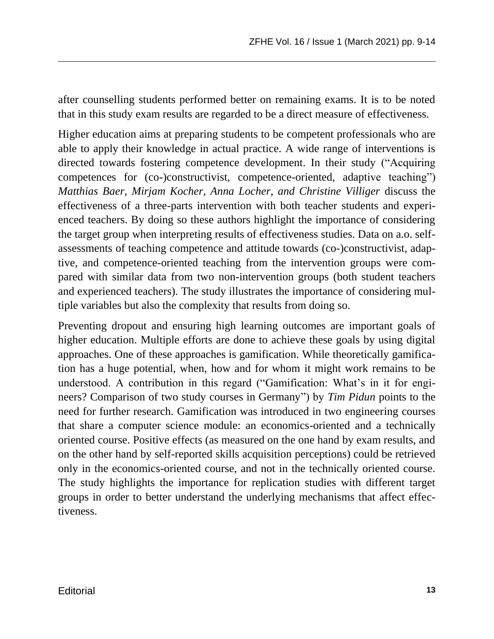after counselling students performed better on remaining exams. It is to be noted that in this study exam results are regarded to be a direct measure of effectiveness.

Higher education aims at preparing students to be competent professionals who are able to apply their knowledge in actual practice. A wide range of interventions is directed towards fostering competence development. In their study ("Acquiring competences for (co-)constructivist, competence-oriented, adaptive teaching") *Matthias Baer, Mirjam Kocher, Anna Locher, and Christine Villiger* discuss the effectiveness of a three-parts intervention with both teacher students and experienced teachers. By doing so these authors highlight the importance of considering the target group when interpreting results of effectiveness studies. Data on a.o. selfassessments of teaching competence and attitude towards (co-)constructivist, adaptive, and competence-oriented teaching from the intervention groups were compared with similar data from two non-intervention groups (both student teachers and experienced teachers). The study illustrates the importance of considering multiple variables but also the complexity that results from doing so.

Preventing dropout and ensuring high learning outcomes are important goals of higher education. Multiple efforts are done to achieve these goals by using digital approaches. One of these approaches is gamification. While theoretically gamification has a huge potential, when, how and for whom it might work remains to be understood. A contribution in this regard ("Gamification: What's in it for engineers? Comparison of two study courses in Germany") by *Tim Pidun* points to the need for further research. Gamification was introduced in two engineering courses that share a computer science module: an economics-oriented and a technically oriented course. Positive effects (as measured on the one hand by exam results, and on the other hand by self-reported skills acquisition perceptions) could be retrieved only in the economics-oriented course, and not in the technically oriented course. The study highlights the importance for replication studies with different target groups in order to better understand the underlying mechanisms that affect effectiveness.